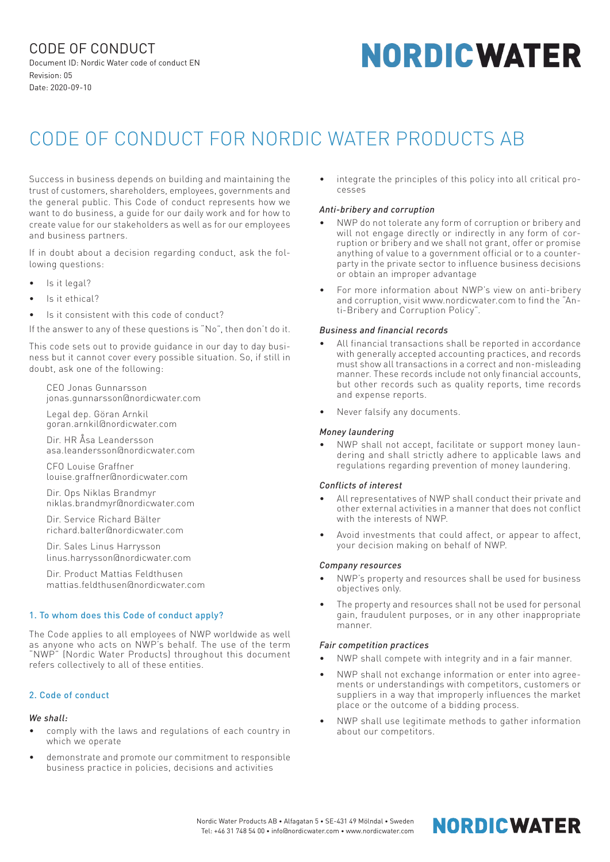CODE OF CONDUCT Document ID: Nordic Water code of conduct EN Revision: 05 Date: 2020-09-10

# **NORDICWATER**

# CODE OF CONDUCT FOR NORDIC WATER PRODUCTS AB

Success in business depends on building and maintaining the trust of customers, shareholders, employees, governments and the general public. This Code of conduct represents how we want to do business, a guide for our daily work and for how to create value for our stakeholders as well as for our employees and business partners.

If in doubt about a decision regarding conduct, ask the following questions:

- Is it legal?
- Is it ethical?
- Is it consistent with this code of conduct?

If the answer to any of these questions is "No", then don't do it.

This code sets out to provide guidance in our day to day business but it cannot cover every possible situation. So, if still in doubt, ask one of the following:

CEO Jonas Gunnarsson jonas.gunnarsson@nordicwater.com

Legal dep. Göran Arnkil goran.arnkil@nordicwater.com

Dir. HR Åsa Leandersson asa.leandersson@nordicwater.com

CFO Louise Graffner louise.graffner@nordicwater.com

Dir. Ops Niklas Brandmyr niklas.brandmyr@nordicwater.com

Dir. Service Richard Bälter richard.balter@nordicwater.com

Dir. Sales Linus Harrysson linus.harrysson@nordicwater.com

Dir. Product Mattias Feldthusen mattias.feldthusen@nordicwater.com

# 1. To whom does this Code of conduct apply?

The Code applies to all employees of NWP worldwide as well as anyone who acts on NWP's behalf. The use of the term "NWP" (Nordic Water Products) throughout this document refers collectively to all of these entities.

# 2. Code of conduct

# *We shall:*

- comply with the laws and regulations of each country in which we operate
- demonstrate and promote our commitment to responsible business practice in policies, decisions and activities

• integrate the principles of this policy into all critical processes

# *Anti-bribery and corruption*

- NWP do not tolerate any form of corruption or bribery and will not engage directly or indirectly in any form of corruption or bribery and we shall not grant, offer or promise anything of value to a government official or to a counterparty in the private sector to influence business decisions or obtain an improper advantage
- For more information about NWP's view on anti-bribery and corruption, visit www.nordicwater.com to find the "Anti-Bribery and Corruption Policy".

# *Business and financial records*

- All financial transactions shall be reported in accordance with generally accepted accounting practices, and records must show all transactions in a correct and non-misleading manner. These records include not only financial accounts, but other records such as quality reports, time records and expense reports.
- Never falsify any documents.

# *Money laundering*

• NWP shall not accept, facilitate or support money laundering and shall strictly adhere to applicable laws and regulations regarding prevention of money laundering.

#### *Conflicts of interest*

- All representatives of NWP shall conduct their private and other external activities in a manner that does not conflict with the interests of NWP.
- Avoid investments that could affect, or appear to affect, your decision making on behalf of NWP.

#### *Company resources*

- NWP's property and resources shall be used for business objectives only.
- The property and resources shall not be used for personal gain, fraudulent purposes, or in any other inappropriate manner.

# *Fair competition practices*

- NWP shall compete with integrity and in a fair manner.
- NWP shall not exchange information or enter into agreements or understandings with competitors, customers or suppliers in a way that improperly influences the market place or the outcome of a bidding process.
- NWP shall use legitimate methods to gather information about our competitors.